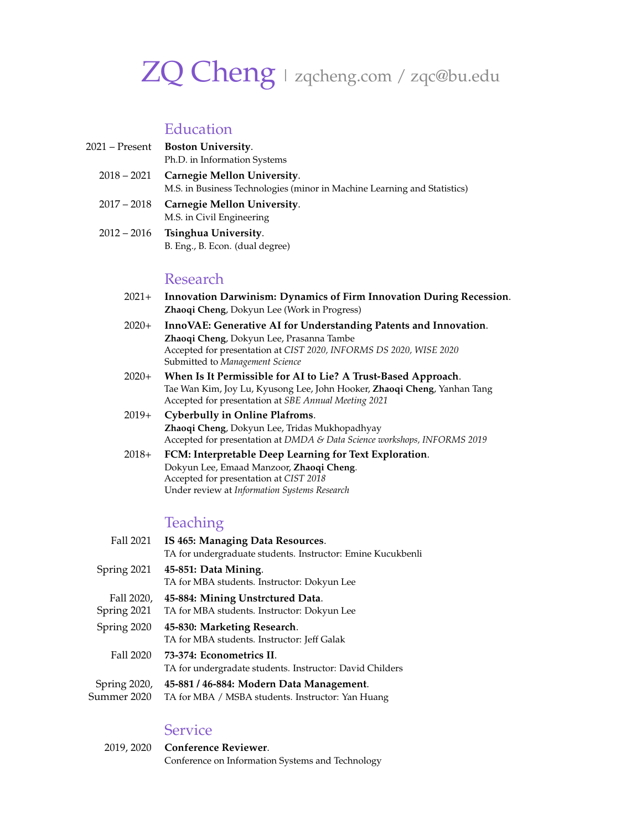# ZQ Cheng | [zqcheng.com](http://zqcheng.com) / [zqc@bu.edu](mailto:zqc@bu.edu)

# Education

| 2021 – Present | <b>Boston University.</b>                |
|----------------|------------------------------------------|
|                | Ph.D. in Information Systems             |
|                | $2018 - 2021$ Carnegie Mellon University |

- 2018 2021 **Carnegie Mellon University**. M.S. in Business Technologies (minor in Machine Learning and Statistics)
- 2017 2018 **Carnegie Mellon University**. M.S. in Civil Engineering
- 2012 2016 **Tsinghua University**. B. Eng., B. Econ. (dual degree)

#### Research

- 2021+ **Innovation Darwinism: Dynamics of Firm Innovation During Recession**. **Zhaoqi Cheng**, Dokyun Lee (Work in Progress)
- 2020+ **InnoVAE: Generative AI for Understanding Patents and Innovation**. **Zhaoqi Cheng**, Dokyun Lee, Prasanna Tambe Accepted for presentation at *CIST 2020, INFORMS DS 2020, WISE 2020* Submitted to *Management Science*
- 2020+ **When Is It Permissible for AI to Lie? A Trust-Based Approach**. Tae Wan Kim, Joy Lu, Kyusong Lee, John Hooker, **Zhaoqi Cheng**, Yanhan Tang Accepted for presentation at *SBE Annual Meeting 2021*
- 2019+ **Cyberbully in Online Plafroms**. **Zhaoqi Cheng**, Dokyun Lee, Tridas Mukhopadhyay Accepted for presentation at *DMDA & Data Science workshops, INFORMS 2019*
- 2018+ **FCM: Interpretable Deep Learning for Text Exploration**. Dokyun Lee, Emaad Manzoor, **Zhaoqi Cheng**. Accepted for presentation at *CIST 2018* Under review at *Information Systems Research*

# Teaching

Fall 2021 **IS 465: Managing Data Resources**. TA for undergraduate students. Instructor: Emine Kucukbenli Spring 2021 **45-851: Data Mining**. TA for MBA students. Instructor: Dokyun Lee Fall 2020, Spring 2021 **45-884: Mining Unstrctured Data**. TA for MBA students. Instructor: Dokyun Lee Spring 2020 **45-830: Marketing Research**. TA for MBA students. Instructor: Jeff Galak Fall 2020 **73-374: Econometrics II**. TA for undergradate students. Instructor: David Childers Spring 2020, Summer 2020 **45-881 / 46-884: Modern Data Management**. TA for MBA / MSBA students. Instructor: Yan Huang

#### Service

| 2019, 2020 Conference Reviewer.                  |
|--------------------------------------------------|
| Conference on Information Systems and Technology |